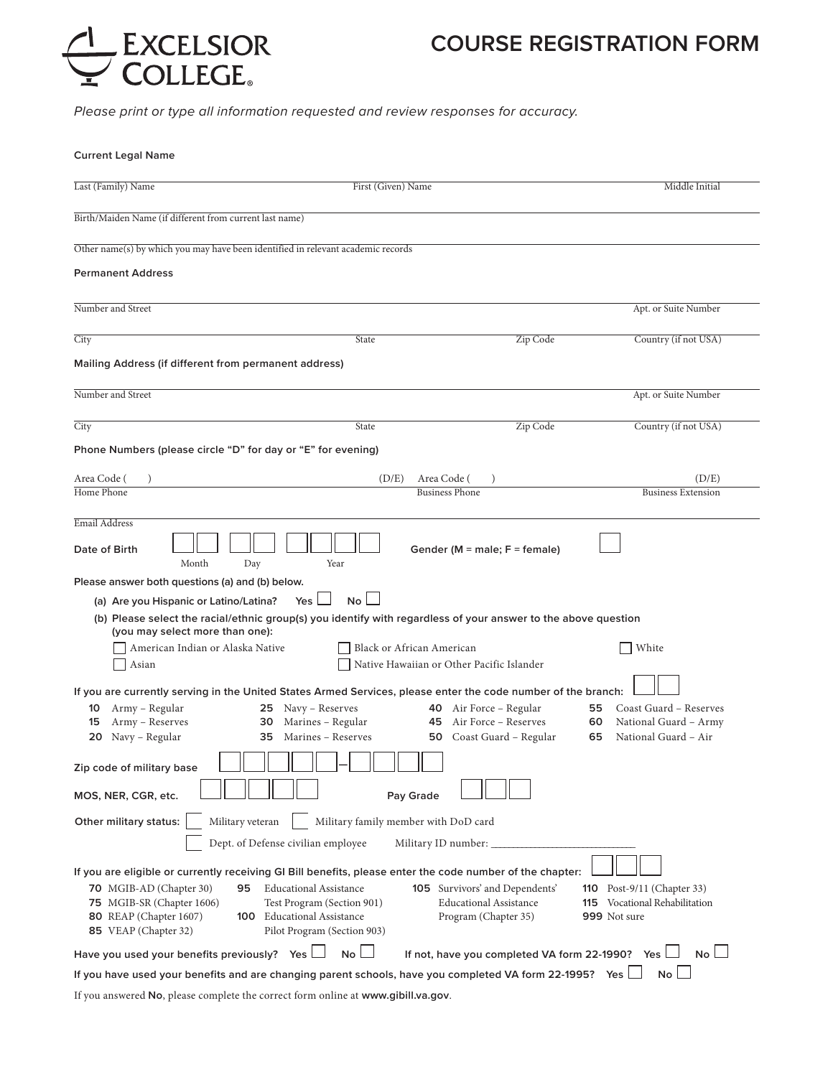

# **COURSE REGISTRATION FORM**

*Please print or type all information requested and review responses for accuracy.*

| <b>Current Legal Name</b>                                                                                                                                                                                                                                                                                                                                           |                                                                                                |                                                                                           |
|---------------------------------------------------------------------------------------------------------------------------------------------------------------------------------------------------------------------------------------------------------------------------------------------------------------------------------------------------------------------|------------------------------------------------------------------------------------------------|-------------------------------------------------------------------------------------------|
| Last (Family) Name                                                                                                                                                                                                                                                                                                                                                  | First (Given) Name                                                                             | Middle Initial                                                                            |
| Birth/Maiden Name (if different from current last name)                                                                                                                                                                                                                                                                                                             |                                                                                                |                                                                                           |
| Other name(s) by which you may have been identified in relevant academic records                                                                                                                                                                                                                                                                                    |                                                                                                |                                                                                           |
| <b>Permanent Address</b>                                                                                                                                                                                                                                                                                                                                            |                                                                                                |                                                                                           |
| Number and Street                                                                                                                                                                                                                                                                                                                                                   |                                                                                                | Apt. or Suite Number                                                                      |
| City                                                                                                                                                                                                                                                                                                                                                                | Zip Code<br>State                                                                              | Country (if not USA)                                                                      |
| Mailing Address (if different from permanent address)                                                                                                                                                                                                                                                                                                               |                                                                                                |                                                                                           |
| Number and Street                                                                                                                                                                                                                                                                                                                                                   |                                                                                                | Apt. or Suite Number                                                                      |
| City                                                                                                                                                                                                                                                                                                                                                                | Zip Code<br>State                                                                              | Country (if not USA)                                                                      |
| Phone Numbers (please circle "D" for day or "E" for evening)                                                                                                                                                                                                                                                                                                        |                                                                                                |                                                                                           |
| Area Code (                                                                                                                                                                                                                                                                                                                                                         | (D/E)<br>Area Code (                                                                           | (D/E)                                                                                     |
| Home Phone                                                                                                                                                                                                                                                                                                                                                          | <b>Business Phone</b>                                                                          | <b>Business Extension</b>                                                                 |
| Email Address<br>Date of Birth<br>Month<br>Day<br>Year                                                                                                                                                                                                                                                                                                              | Gender ( $M =$ male; $F =$ female)                                                             |                                                                                           |
| Please answer both questions (a) and (b) below.<br>(a) Are you Hispanic or Latino/Latina?<br>Yes<br>(b) Please select the racial/ethnic group(s) you identify with regardless of your answer to the above question<br>(you may select more than one):<br>American Indian or Alaska Native<br>Asian                                                                  | $No$ $\Box$<br>Black or African American<br>Native Hawaiian or Other Pacific Islander          | White                                                                                     |
| If you are currently serving in the United States Armed Services, please enter the code number of the branch:<br>Army - Regular<br>25 Navy – Reserves<br>10<br>Army - Reserves<br>Marines - Regular<br>15<br>30<br>20 Navy - Regular<br><b>35</b> Marines – Reserves<br>Zip code of military base<br>MOS, NER, CGR, etc.                                            | 40 Air Force - Regular<br>Air Force – Reserves<br>45<br>50 Coast Guard - Regular<br>Pay Grade  | Coast Guard - Reserves<br>55<br>National Guard - Army<br>60<br>National Guard - Air<br>65 |
| Other military status:<br>Military veteran<br>Dept. of Defense civilian employee                                                                                                                                                                                                                                                                                    | Military family member with DoD card<br>Military ID number: _                                  |                                                                                           |
| If you are eligible or currently receiving GI Bill benefits, please enter the code number of the chapter:<br><b>Educational Assistance</b><br><b>70</b> MGIB-AD (Chapter 30)<br>95<br>75 MGIB-SR (Chapter 1606)<br>Test Program (Section 901)<br>80 REAP (Chapter 1607)<br><b>100</b> Educational Assistance<br>85 VEAP (Chapter 32)<br>Pilot Program (Section 903) | <b>105</b> Survivors' and Dependents'<br><b>Educational Assistance</b><br>Program (Chapter 35) | <b>110</b> Post-9/11 (Chapter 33)<br>Vocational Rehabilitation<br>115<br>999 Not sure     |
| Have you used your benefits previously?<br>Yes l                                                                                                                                                                                                                                                                                                                    | No<br>If not, have you completed VA form 22-1990? Yes                                          | $No$ $\Box$                                                                               |
| If you have used your benefits and are changing parent schools, have you completed VA form 22-1995? Yes                                                                                                                                                                                                                                                             |                                                                                                | No <sub>1</sub>                                                                           |

If you answered **No**, please complete the correct form online at **www.gibill.va.gov**.